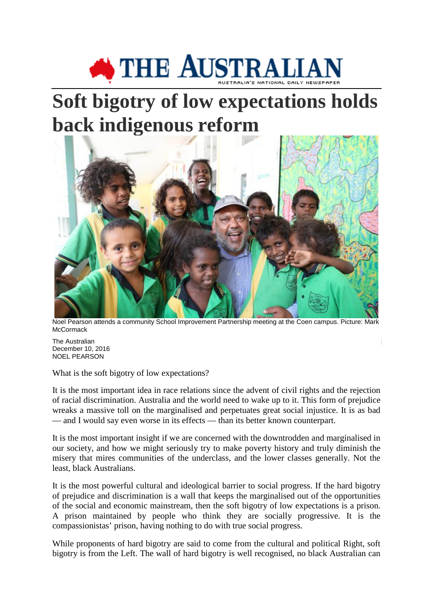

## **Soft bigotry of low expectations holds back indigenous reform**



Noel Pearson attends a community School Improvement Partnership meeting at the Coen campus. Picture: Mark **McCormack** 

The Australian December 10, 2016 NOEL PEARSON

What is the soft bigotry of low expectations?

It is the most important idea in race relations since the advent of civil rights and the rejection of racial discrimination. Australia and the world need to wake up to it. This form of prejudice wreaks a massive toll on the marginalised and perpetuates great social injustice. It is as bad — and I would say even worse in its effects — than its better known counterpart.

It is the most important insight if we are concerned with the downtrodden and marginalised in our society, and how we might seriously try to make poverty history and truly diminish the misery that mires communities of the underclass, and the lower classes generally. Not the least, black Australians.

It is the most powerful cultural and ideological barrier to social progress. If the hard bigotry of prejudice and discrimination is a wall that keeps the marginalised out of the opportunities of the social and economic mainstream, then the soft bigotry of low expectations is a prison. A prison maintained by people who think they are socially progressive. It is the compassionistas' prison, having nothing to do with true social progress.

While proponents of hard bigotry are said to come from the cultural and political Right, soft bigotry is from the Left. The wall of hard bigotry is well recognised, no black Australian can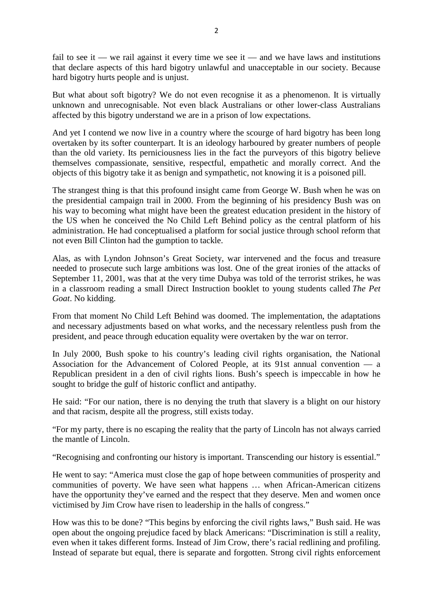fail to see it — we rail against it every time we see it — and we have laws and institutions that declare aspects of this hard bigotry unlawful and unacceptable in our society. Because hard bigotry hurts people and is unjust.

But what about soft bigotry? We do not even recognise it as a phenomenon. It is virtually unknown and unrecognisable. Not even black Australians or other lower-class Australians affected by this bigotry understand we are in a prison of low expectations.

And yet I contend we now live in a country where the scourge of hard bigotry has been long overtaken by its softer counterpart. It is an ideology harboured by greater numbers of people than the old variety. Its perniciousness lies in the fact the purveyors of this bigotry believe themselves compassionate, sensitive, respectful, empathetic and morally correct. And the objects of this bigotry take it as benign and sympathetic, not knowing it is a poisoned pill.

The strangest thing is that this profound insight came from George W. Bush when he was on the presidential campaign trail in 2000. From the beginning of his presidency Bush was on his way to becoming what might have been the greatest education president in the history of the US when he conceived the No Child Left Behind policy as the central platform of his administration. He had conceptualised a platform for social justice through school reform that not even Bill Clinton had the gumption to tackle.

Alas, as with Lyndon Johnson's Great Society, war intervened and the focus and treasure needed to prosecute such large ambitions was lost. One of the great ironies of the attacks of September 11, 2001, was that at the very time Dubya was told of the terrorist strikes, he was in a classroom reading a small Direct Instruction booklet to young students called *The Pet Goat*. No kidding.

From that moment No Child Left Behind was doomed. The implementation, the adaptations and necessary adjustments based on what works, and the necessary relentless push from the president, and peace through education equality were overtaken by the war on terror.

In July 2000, Bush spoke to his country's leading civil rights organisation, the National Association for the Advancement of Colored People, at its 91st annual convention — a Republican president in a den of civil rights lions. Bush's speech is impeccable in how he sought to bridge the gulf of historic conflict and antipathy.

He said: "For our nation, there is no denying the truth that slavery is a blight on our history and that racism, despite all the progress, still exists today.

"For my party, there is no escaping the reality that the party of Lincoln has not always carried the mantle of Lincoln.

"Recognising and confronting our history is important. Transcending our history is essential."

He went to say: "America must close the gap of hope between communities of prosperity and communities of poverty. We have seen what happens … when African-American citizens have the opportunity they've earned and the respect that they deserve. Men and women once victimised by Jim Crow have risen to leadership in the halls of congress."

How was this to be done? "This begins by enforcing the civil rights laws," Bush said. He was open about the ongoing prejudice faced by black Americans: "Discrimination is still a reality, even when it takes different forms. Instead of Jim Crow, there's racial redlining and profiling. Instead of separate but equal, there is separate and forgotten. Strong civil rights enforcement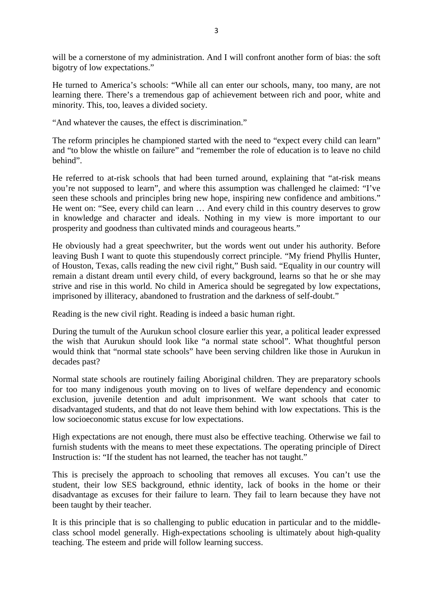will be a cornerstone of my administration. And I will confront another form of bias: the soft bigotry of low expectations."

He turned to America's schools: "While all can enter our schools, many, too many, are not learning there. There's a tremendous gap of achievement between rich and poor, white and minority. This, too, leaves a divided society.

"And whatever the causes, the effect is discrimination."

The reform principles he championed started with the need to "expect every child can learn" and "to blow the whistle on failure" and "remember the role of education is to leave no child behind".

He referred to at-risk schools that had been turned around, explaining that "at-risk means you're not supposed to learn", and where this assumption was challenged he claimed: "I've seen these schools and principles bring new hope, inspiring new confidence and ambitions." He went on: "See, every child can learn … And every child in this country deserves to grow in knowledge and character and ideals. Nothing in my view is more important to our prosperity and goodness than cultivated minds and courageous hearts."

He obviously had a great speechwriter, but the words went out under his authority. Before leaving Bush I want to quote this stupendously correct principle. "My friend Phyllis Hunter, of Houston, Texas, calls reading the new civil right," Bush said. "Equality in our country will remain a distant dream until every child, of every background, learns so that he or she may strive and rise in this world. No child in America should be segregated by low expectations, imprisoned by illiteracy, abandoned to frustration and the darkness of self-doubt."

Reading is the new civil right. Reading is indeed a basic human right.

During the tumult of the Aurukun school closure earlier this year, a political leader expressed the wish that Aurukun should look like "a normal state school". What thoughtful person would think that "normal state schools" have been serving children like those in Aurukun in decades past?

Normal state schools are routinely failing Aboriginal children. They are preparatory schools for too many indigenous youth moving on to lives of welfare dependency and economic exclusion, juvenile detention and adult imprisonment. We want schools that cater to disadvantaged students, and that do not leave them behind with low expectations. This is the low socioeconomic status excuse for low expectations.

High expectations are not enough, there must also be effective teaching. Otherwise we fail to furnish students with the means to meet these expectations. The operating principle of Direct Instruction is: "If the student has not learned, the teacher has not taught."

This is precisely the approach to schooling that removes all excuses. You can't use the student, their low SES background, ethnic identity, lack of books in the home or their disadvantage as excuses for their failure to learn. They fail to learn because they have not been taught by their teacher.

It is this principle that is so challenging to public education in particular and to the middleclass school model generally. High-expectations schooling is ultimately about high-quality teaching. The esteem and pride will follow learning success.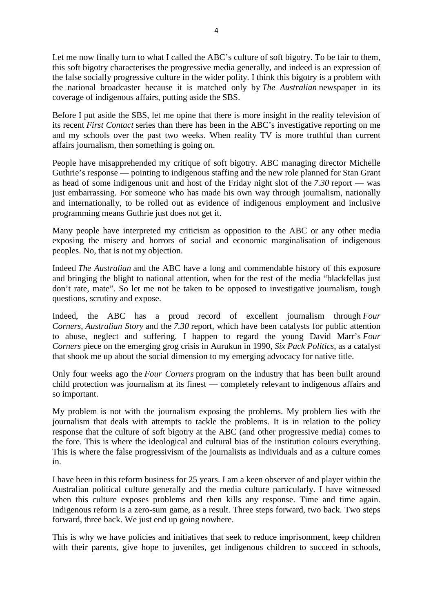Let me now finally turn to what I called the ABC's culture of soft bigotry. To be fair to them, this soft bigotry characterises the progressive media generally, and indeed is an expression of the false socially progressive culture in the wider polity. I think this bigotry is a problem with the national broadcaster because it is matched only by *The Australian* newspaper in its coverage of indigenous affairs, putting aside the SBS.

Before I put aside the SBS, let me opine that there is more insight in the reality television of its recent *First Contact* series than there has been in the ABC's investigative reporting on me and my schools over the past two weeks. When reality TV is more truthful than current affairs journalism, then something is going on.

People have misapprehended my critique of soft bigotry. ABC managing director Michelle Guthrie's response — pointing to indigenous staffing and the new role planned for Stan Grant as head of some indigenous unit and host of the Friday night slot of the *7.30* report — was just embarrassing. For someone who has made his own way through journalism, nationally and internationally, to be rolled out as evidence of indigenous employment and inclusive programming means Guthrie just does not get it.

Many people have interpreted my criticism as opposition to the ABC or any other media exposing the misery and horrors of social and economic marginalisation of indigenous peoples. No, that is not my objection.

Indeed *The Australian* and the ABC have a long and commendable history of this exposure and bringing the blight to national attention, when for the rest of the media "blackfellas just don't rate, mate". So let me not be taken to be opposed to investigative journalism, tough questions, scrutiny and expose.

Indeed, the ABC has a proud record of excellent journalism through *Four Corners*, *Australian Story* and the *7.30* report, which have been catalysts for public attention to abuse, neglect and suffering. I happen to regard the young David Marr's *Four Corners* piece on the emerging grog crisis in Aurukun in 1990, *Six Pack Politics*, as a catalyst that shook me up about the social dimension to my emerging advocacy for native title.

Only four weeks ago the *Four Corners* program on the industry that has been built around child protection was journalism at its finest — completely relevant to indigenous affairs and so important.

My problem is not with the journalism exposing the problems. My problem lies with the journalism that deals with attempts to tackle the problems. It is in relation to the policy response that the culture of soft bigotry at the ABC (and other progressive media) comes to the fore. This is where the ideological and cultural bias of the institution colours everything. This is where the false progressivism of the journalists as individuals and as a culture comes in.

I have been in this reform business for 25 years. I am a keen observer of and player within the Australian political culture generally and the media culture particularly. I have witnessed when this culture exposes problems and then kills any response. Time and time again. Indigenous reform is a zero-sum game, as a result. Three steps forward, two back. Two steps forward, three back. We just end up going nowhere.

This is why we have policies and initiatives that seek to reduce imprisonment, keep children with their parents, give hope to juveniles, get indigenous children to succeed in schools,